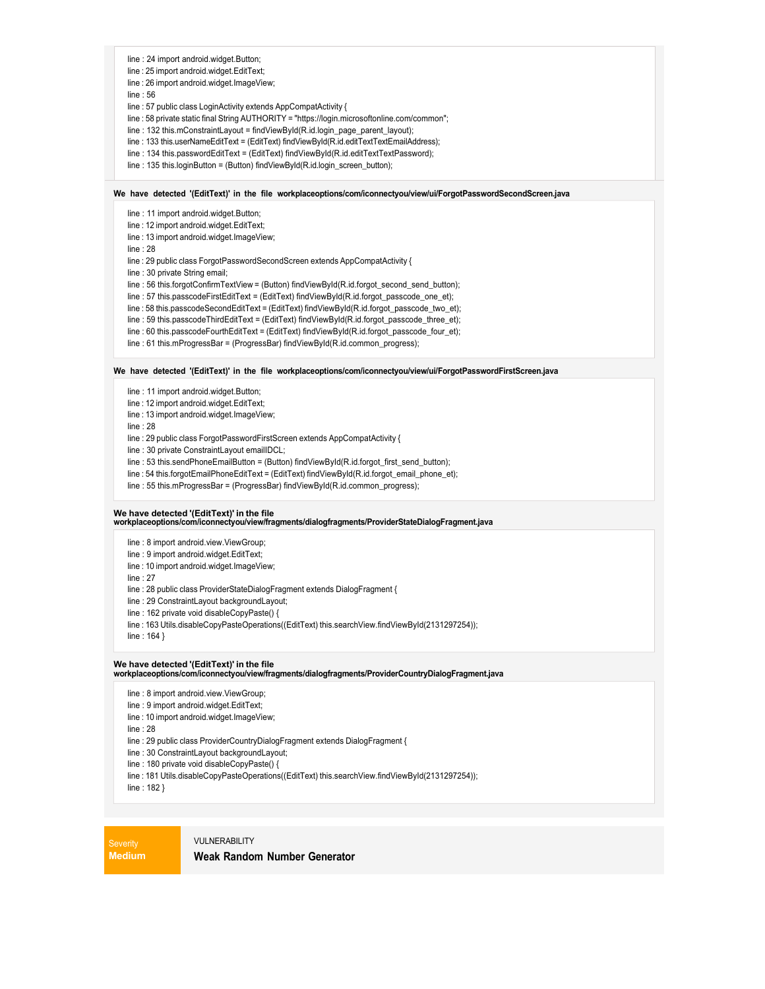- line : 24 import android.widget.Button;
- line : 25 import android.widget.EditText;
- line : 26 import android.widget.ImageView;

line : 56

- line : 57 public class LoginActivity extends AppCompatActivity {
- line : 58 private static final String AUTHORITY = "https://login.microsoftonline.com/common";
- line : 132 this.mConstraintLayout = findViewById(R.id.login\_page\_parent\_layout);
- line : 133 this.userNameEditText = (EditText) findViewById(R.id.editTextTextEmailAddress);
- line : 134 this.passwordEditText = (EditText) findViewById(R.id.editTextTextPassword);
- line : 135 this.loginButton = (Button) findViewById(R.id.login\_screen\_button);

#### **We have detected '(EditText)' in the file workplaceoptions/com/iconnectyou/view/ui/ForgotPasswordSecondScreen.java**

line : 11 import android.widget.Button;

- line : 12 import android.widget.EditText;
- line : 13 import android.widget.ImageView;
- line : 28
- line : 29 public class ForgotPasswordSecondScreen extends AppCompatActivity {
- line : 30 private String email;
- line : 56 this.forgotConfirmTextView = (Button) findViewById(R.id.forgot\_second\_send\_button);
- line : 57 this.passcodeFirstEditText = (EditText) findViewById(R.id.forgot\_passcode\_one\_et);
- line : 58 this.passcodeSecondEditText = (EditText) findViewById(R.id.forgot\_passcode\_two\_et);
- line : 59 this.passcodeThirdEditText = (EditText) findViewById(R.id.forgot\_passcode\_three\_et);
- line : 60 this.passcodeFourthEditText = (EditText) findViewById(R.id.forgot\_passcode\_four\_et);
- line : 61 this.mProgressBar = (ProgressBar) findViewById(R.id.common\_progress);

#### **We have detected '(EditText)' in the file workplaceoptions/com/iconnectyou/view/ui/ForgotPasswordFirstScreen.java**

- line : 11 import android.widget.Button;
- line : 12 import android.widget.EditText;
- line : 13 import android.widget.ImageView;
- line : 28
- line : 29 public class ForgotPasswordFirstScreen extends AppCompatActivity {
- line : 30 private ConstraintLayout emailIDCL;
- line : 53 this.sendPhoneEmailButton = (Button) findViewById(R.id.forgot\_first\_send\_button);
- line : 54 this.forgotEmailPhoneEditText = (EditText) findViewById(R.id.forgot\_email\_phone\_et);
- line : 55 this.mProgressBar = (ProgressBar) findViewById(R.id.common\_progress);

#### **We have detected '(EditText)' in the file**

**workplaceoptions/com/iconnectyou/view/fragments/dialogfragments/ProviderStateDialogFragment.java**

line : 8 import android.view.ViewGroup;

- line : 9 import android.widget.EditText;
- line : 10 import android.widget.ImageView;
- line : 27
- line : 28 public class ProviderStateDialogFragment extends DialogFragment {
- line : 29 ConstraintLayout backgroundLayout;
- line : 162 private void disableCopyPaste() {
- line : 163 Utils.disableCopyPasteOperations((EditText) this.searchView.findViewById(2131297254));

line : 164 }

# **We have detected '(EditText)' in the file workplaceoptions/com/iconnectyou/view/fragments/dialogfragments/ProviderCountryDialogFragment.java**

- line : 8 import android.view.ViewGroup;
- line : 9 import android.widget.EditText;
- line : 10 import android.widget.ImageView;
- line : 28
- line : 29 public class ProviderCountryDialogFragment extends DialogFragment {
- line : 30 ConstraintLayout backgroundLayout;
- line : 180 private void disableCopyPaste() {
- line : 181 Utils.disableCopyPasteOperations((EditText) this.searchView.findViewById(2131297254));
- line : 182 }

**Severity Medium**

#### **VILI NERABILITY**

#### **Weak Random Number Generator**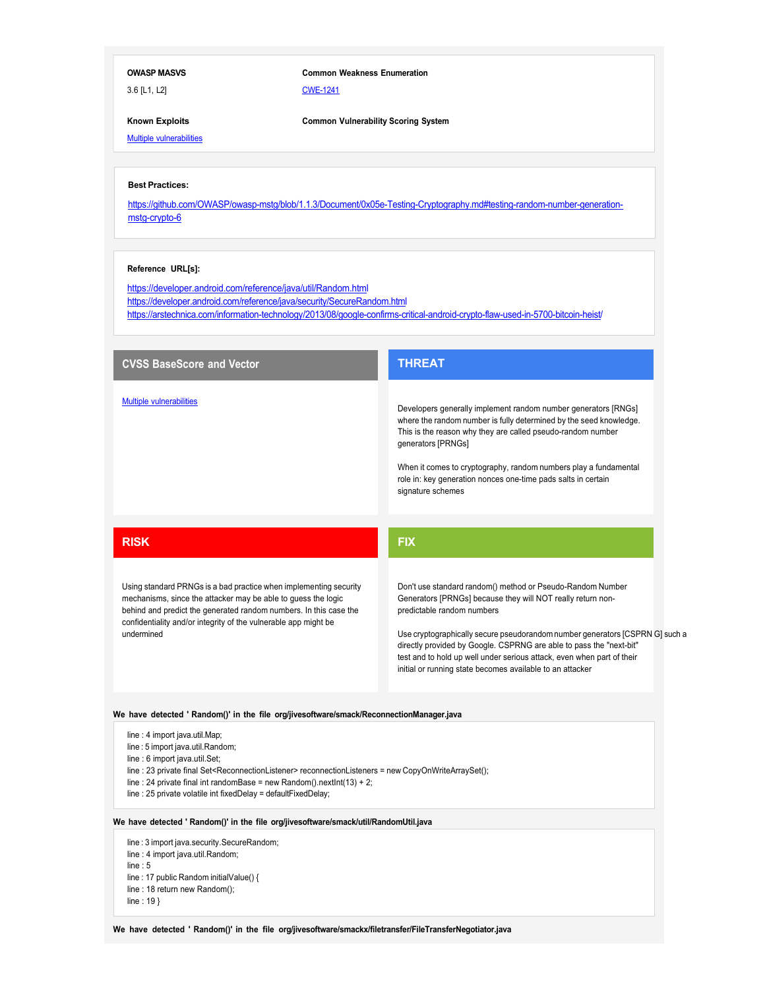### **OWASP MASVS**

3.6 [L1, L2]

## **Common Weakness Enumeration**

CWE-1241

**Common Vulnerability Scoring System**

**Known Exploits Multiple vulnerabilities** 

### **Best Practices:**

https://github.com/OWASP/owasp-mstg/blob/1.1.3/Document/0x05e-Testing-Cryptography.md#testing-random-number-generationmstg-crypto-6

### **Reference URL[s]:**

https://developer.android.com/reference/java/util/Random.html https://developer.android.com/reference/java/security/SecureRandom.html https://arstechnica.com/information-technology/2013/08/google-confirms-critical-android-crypto-flaw-used-in-5700-bitcoin-heist/

| <b>CVSS BaseScore and Vector</b>                                                                                                                                                                                                                                                                                                                                                  | <b>THREAT</b>                                                                                                                                                                                                                                                                                                                                                                                                                                         |
|-----------------------------------------------------------------------------------------------------------------------------------------------------------------------------------------------------------------------------------------------------------------------------------------------------------------------------------------------------------------------------------|-------------------------------------------------------------------------------------------------------------------------------------------------------------------------------------------------------------------------------------------------------------------------------------------------------------------------------------------------------------------------------------------------------------------------------------------------------|
| <b>Multiple vulnerabilities</b>                                                                                                                                                                                                                                                                                                                                                   | Developers generally implement random number generators [RNGs]<br>where the random number is fully determined by the seed knowledge.<br>This is the reason why they are called pseudo-random number<br>generators [PRNGs]<br>When it comes to cryptography, random numbers play a fundamental<br>role in: key generation nonces one-time pads salts in certain<br>signature schemes                                                                   |
| <b>RISK</b>                                                                                                                                                                                                                                                                                                                                                                       | <b>FIX</b>                                                                                                                                                                                                                                                                                                                                                                                                                                            |
| Using standard PRNGs is a bad practice when implementing security<br>mechanisms, since the attacker may be able to guess the logic<br>behind and predict the generated random numbers. In this case the<br>confidentiality and/or integrity of the vulnerable app might be<br>undermined                                                                                          | Don't use standard random() method or Pseudo-Random Number<br>Generators [PRNGs] because they will NOT really return non-<br>predictable random numbers<br>Use cryptographically secure pseudorandom number generators [CSPRN G] such a<br>directly provided by Google. CSPRNG are able to pass the "next-bit"<br>test and to hold up well under serious attack, even when part of their<br>initial or running state becomes available to an attacker |
| We have detected ' Random()' in the file org/jivesoftware/smack/ReconnectionManager.java                                                                                                                                                                                                                                                                                          |                                                                                                                                                                                                                                                                                                                                                                                                                                                       |
| line: 4 import java.util.Map;<br>line : 5 import java.util.Random;<br>line : 6 import java.util.Set;<br>line: 23 private final Set <reconnectionlistener> reconnectionListeners = new CopyOnWriteArraySet();<br/>line : 24 private final int randomBase = new Random().nextlnt(13) + 2;<br/>line : 25 private volatile int fixedDelay = defaultFixedDelay;</reconnectionlistener> |                                                                                                                                                                                                                                                                                                                                                                                                                                                       |
| We have detected ' Random()' in the file org/jivesoftware/smack/util/RandomUtil.java                                                                                                                                                                                                                                                                                              |                                                                                                                                                                                                                                                                                                                                                                                                                                                       |
| line: 3 import java.security.SecureRandom;<br>line : 4 import java.util.Random;<br>line: $5$<br>line: 17 public Random initialValue() {<br>line: 18 return new Random();                                                                                                                                                                                                          |                                                                                                                                                                                                                                                                                                                                                                                                                                                       |

- line : 19 }
- 

**We have detected ' Random()' in the file org/jivesoftware/smackx/filetransfer/FileTransferNegotiator.java**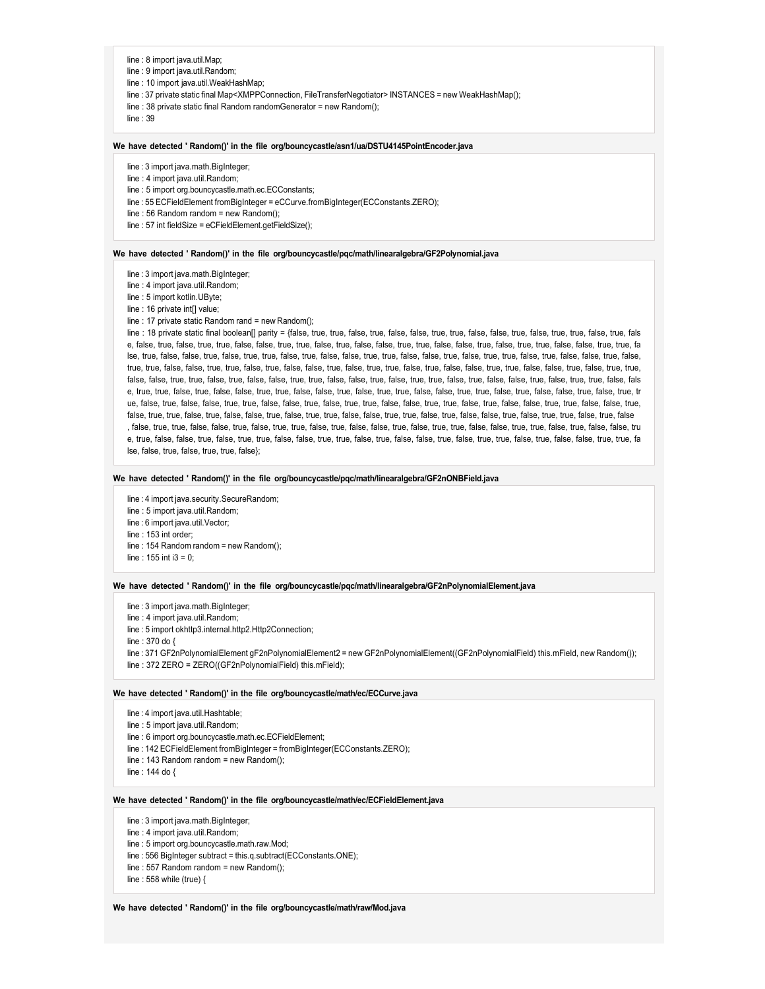- line : 8 import java.util.Map;
- line : 9 import java.util.Random;
- line : 10 import java.util.WeakHashMap;
- line : 37 private static final Map<XMPPConnection, FileTransferNegotiator> INSTANCES = new WeakHashMap();
- line : 38 private static final Random randomGenerator = new Random();

line : 39

#### **We have detected ' Random()' in the file org/bouncycastle/asn1/ua/DSTU4145PointEncoder.java**

- line : 3 import java.math.BigInteger;
- line : 4 import java.util.Random;
- line : 5 import org.bouncycastle.math.ec.ECConstants;
- line : 55 ECFieldElement fromBigInteger = eCCurve.fromBigInteger(ECConstants.ZERO);
- line : 56 Random random = new Random();
- line : 57 int fieldSize = eCFieldElement.getFieldSize();

#### **We have detected ' Random()' in the file org/bouncycastle/pqc/math/linearalgebra/GF2Polynomial.java**

- line : 3 import java.math.BigInteger;
- line : 4 import java.util.Random;
- line : 5 import kotlin.UByte;
- line : 16 private int[] value;
- line : 17 private static Random rand = new Random();

line : 18 private static final boolean[] parity = {false, true, true, false, true, false, false, true, false, false, true, false, true, false, true, false, true, false, true, false, true, fals e, false, true, false, true, true, false, false, true, true, false, true, false, false, true, true, false, false, true, false, true, true, false, false, true, true, fa lse, true, false, false, true, false, true, true, false, true, false, false, true, true, false, false, true, false, true, true, false, true, false, false, true, false, true, true, false, false, true, true, false, true, false, false, true, false, true, false, true, false, false, true, false, false, true, false, true, true, true, true, true, true, false, false, true, true, false, true, false, false, true, true, false, true, false, true, false, true, false, true, false, true, true, true, false, false, false, true, false, true, false, false, true, false, true, false, e, true, true, false, true, false, false, true, true, false, false, true, false, true, true, false, true, false, true, false, true, false, true, false, true, false, true, false, true, tr ue, false, true, false, false, true, true, false, false, true, false, true, true, false, false, true, true, false, true, false, false, true, true, false, false, true, false, true, true, false, true, false, false, true, false, true, true, false, false, true, false, true, false, false, true, false, true, false, true, false, true, false, true, false , false, true, true, false, false, true, false, true, true, false, true, false, false, true, false, true, true, false, false, true, true, false, true, false, false, tru e, true, false, false, true, false, true, true, false, false, true, true, false, true, false, false, true, false, true, true, false, true, false, false, true, true, fa lse, false, true, false, true, true, false};

#### **We have detected ' Random()' in the file org/bouncycastle/pqc/math/linearalgebra/GF2nONBField.java**

- line : 4 import java.security.SecureRandom;
- line : 5 import java.util.Random;
- line : 6 import java.util.Vector;
- line : 153 int order;
- line : 154 Random random = new Random();
- line : 155 int i3 = 0;

#### **We have detected ' Random()' in the file org/bouncycastle/pqc/math/linearalgebra/GF2nPolynomialElement.java**

line : 3 import java.math.BigInteger;

line : 4 import java.util.Random;

line : 5 import okhttp3.internal.http2.Http2Connection;

line : 370 do {

line : 371 GF2nPolynomialElement gF2nPolynomialElement2 = new GF2nPolynomialElement((GF2nPolynomialField) this.mField, new Random()); line : 372 ZERO = ZERO((GF2nPolynomialField) this.mField);

#### **We have detected ' Random()' in the file org/bouncycastle/math/ec/ECCurve.java**

- line : 4 import java.util.Hashtable;
- line : 5 import java.util.Random;
- line : 6 import org.bouncycastle.math.ec.ECFieldElement;
- line : 142 ECFieldElement fromBigInteger = fromBigInteger(ECConstants.ZERO);
- line : 143 Random random = new Random();
- line : 144 do {

#### **We have detected ' Random()' in the file org/bouncycastle/math/ec/ECFieldElement.java**

- line : 3 import java.math.BigInteger;
- line : 4 import java.util.Random;
- line : 5 import org.bouncycastle.math.raw.Mod;
- line : 556 BigInteger subtract = this.q.subtract(ECConstants.ONE);
- line : 557 Random random = new Random();
- line : 558 while (true) {

#### **We have detected ' Random()' in the file org/bouncycastle/math/raw/Mod.java**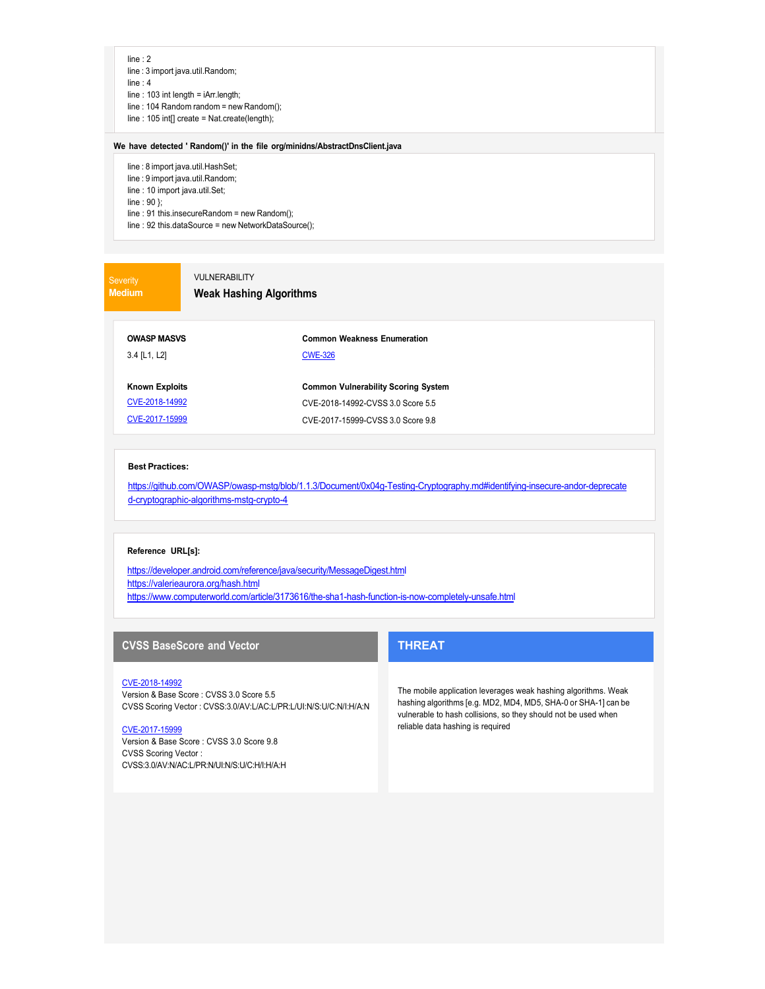- line : 2
- line : 3 import java.util.Random;
- line : 4
- line : 103 int length = iArr.length; line : 104 Random random = new Random();
- line : 105 int[] create = Nat.create(length);
- 

#### **We have detected ' Random()' in the file org/minidns/AbstractDnsClient.java**

- line : 8 import java.util.HashSet;
- line : 9 import java.util.Random;
- line : 10 import java.util.Set;

line : 90 };

- line : 91 this.insecureRandom = new Random();
- line : 92 this.dataSource = new NetworkDataSource();

**Medium**

## VULNERABILITY

### **Weak Hashing Algorithms**

**OWASP MASVS** 3.4 [L1, L2]

**Common Weakness Enumeration** CWE-326

**Common Vulnerability Scoring System** CVE-2018-14992-CVSS 3.0 Score 5.5 CVE-2017-15999-CVSS 3.0 Score 9.8

**Known Exploits** CVE-2018-14992 CVE-2017-15999

## **Best Practices:**

https://github.com/OWASP/owasp-mstg/blob/1.1.3/Document/0x04g-Testing-Cryptography.md#identifying-insecure-andor-deprecate d-cryptographic-algorithms-mstg-crypto-4

### **Reference URL[s]:**

https://developer.android.com/reference/java/security/MessageDigest.html https://valerieaurora.org/hash.html https://www.computerworld.com/article/3173616/the-sha1-hash-function-is-now-completely-unsafe.html

## **CVSS BaseScore and Vector**

#### CVE-2018-14992

Version & Base Score : CVSS 3.0 Score 5.5 CVSS Scoring Vector : CVSS:3.0/AV:L/AC:L/PR:L/UI:N/S:U/C:N/I:H/A:N

#### CVE-2017-15999

Version & Base Score : CVSS 3.0 Score 9.8 CVSS Scoring Vector : CVSS:3.0/AV:N/AC:L/PR:N/UI:N/S:U/C:H/I:H/A:H

## **THREAT**

The mobile application leverages weak hashing algorithms. Weak hashing algorithms [e.g. MD2, MD4, MD5, SHA-0 or SHA-1] can be vulnerable to hash collisions, so they should not be used when reliable data hashing is required